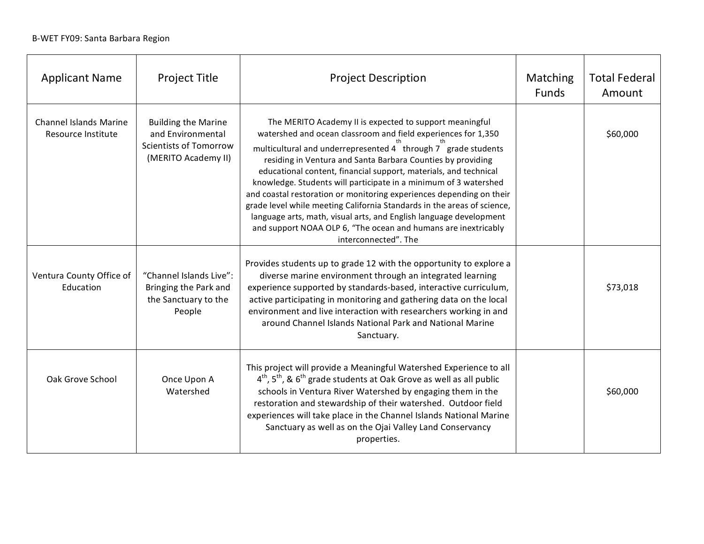| <b>Applicant Name</b>                               | <b>Project Title</b>                                                                                    | <b>Project Description</b>                                                                                                                                                                                                                                                                                                                                                                                                                                                                                                                                                                                                                                                                                          | Matching<br><b>Funds</b> | <b>Total Federal</b><br>Amount |
|-----------------------------------------------------|---------------------------------------------------------------------------------------------------------|---------------------------------------------------------------------------------------------------------------------------------------------------------------------------------------------------------------------------------------------------------------------------------------------------------------------------------------------------------------------------------------------------------------------------------------------------------------------------------------------------------------------------------------------------------------------------------------------------------------------------------------------------------------------------------------------------------------------|--------------------------|--------------------------------|
| <b>Channel Islands Marine</b><br>Resource Institute | <b>Building the Marine</b><br>and Environmental<br><b>Scientists of Tomorrow</b><br>(MERITO Academy II) | The MERITO Academy II is expected to support meaningful<br>watershed and ocean classroom and field experiences for 1,350<br>multicultural and underrepresented 4 through 7 grade students<br>residing in Ventura and Santa Barbara Counties by providing<br>educational content, financial support, materials, and technical<br>knowledge. Students will participate in a minimum of 3 watershed<br>and coastal restoration or monitoring experiences depending on their<br>grade level while meeting California Standards in the areas of science,<br>language arts, math, visual arts, and English language development<br>and support NOAA OLP 6, "The ocean and humans are inextricably<br>interconnected". The |                          | \$60,000                       |
| Ventura County Office of<br>Education               | "Channel Islands Live":<br>Bringing the Park and<br>the Sanctuary to the<br>People                      | Provides students up to grade 12 with the opportunity to explore a<br>diverse marine environment through an integrated learning<br>experience supported by standards-based, interactive curriculum,<br>active participating in monitoring and gathering data on the local<br>environment and live interaction with researchers working in and<br>around Channel Islands National Park and National Marine<br>Sanctuary.                                                                                                                                                                                                                                                                                             |                          | \$73,018                       |
| Oak Grove School                                    | Once Upon A<br>Watershed                                                                                | This project will provide a Meaningful Watershed Experience to all<br>$4^{\text{th}}$ , 5 <sup>th</sup> , & 6 <sup>th</sup> grade students at Oak Grove as well as all public<br>schools in Ventura River Watershed by engaging them in the<br>restoration and stewardship of their watershed. Outdoor field<br>experiences will take place in the Channel Islands National Marine<br>Sanctuary as well as on the Ojai Valley Land Conservancy<br>properties.                                                                                                                                                                                                                                                       |                          | \$60,000                       |